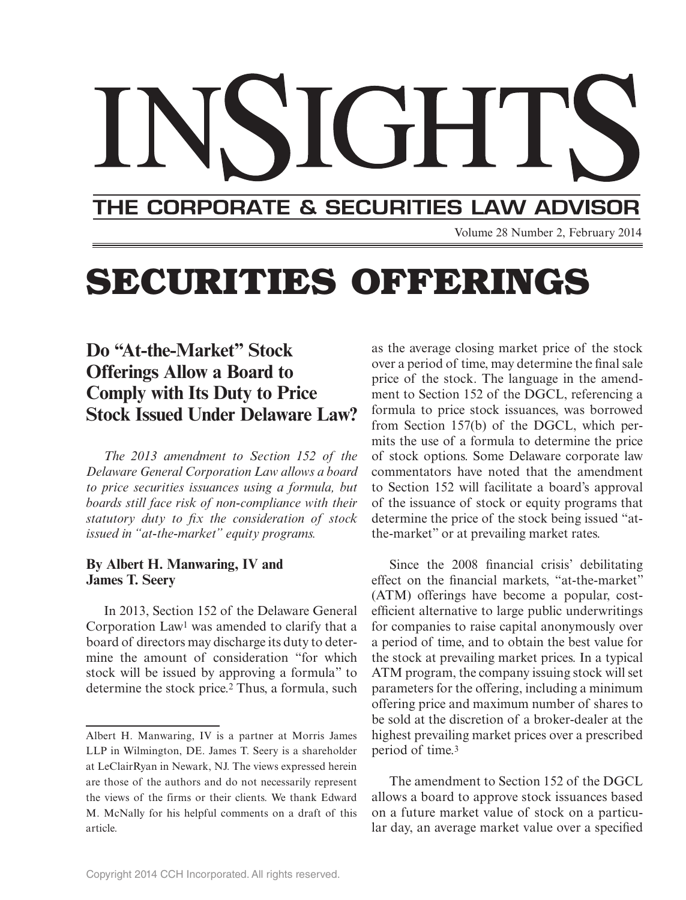# THE CORPORATE & SECURITIES LAW ADVISOR

Volume 28 Number 2, February 2014

## **SECURITIES OFFERINGS**

### **Do "At-the-Market" Stock Offerings Allow a Board to Comply with Its Duty to Price Stock Issued Under Delaware Law?**

*The 2013 amendment to Section 152 of the Delaware General Corporation Law allows a board to price securities issuances using a formula, but boards still face risk of non-compliance with their*  statutory duty to fix the consideration of stock *issued in "at-the-market" equity programs.*

#### **By Albert H. Manwaring, IV and James T. Seery**

In 2013, Section 152 of the Delaware General Corporation Law1 was amended to clarify that a board of directors may discharge its duty to determine the amount of consideration "for which stock will be issued by approving a formula" to determine the stock price.2 Thus, a formula, such

as the average closing market price of the stock over a period of time, may determine the final sale price of the stock. The language in the amendment to Section 152 of the DGCL, referencing a formula to price stock issuances, was borrowed from Section 157(b) of the DGCL, which permits the use of a formula to determine the price of stock options. Some Delaware corporate law commentators have noted that the amendment to Section 152 will facilitate a board's approval of the issuance of stock or equity programs that determine the price of the stock being issued "atthe-market" or at prevailing market rates.

Since the 2008 financial crisis' debilitating effect on the financial markets, "at-the-market" (ATM) offerings have become a popular, costefficient alternative to large public underwritings for companies to raise capital anonymously over a period of time, and to obtain the best value for the stock at prevailing market prices. In a typical ATM program, the company issuing stock will set parameters for the offering, including a minimum offering price and maximum number of shares to be sold at the discretion of a broker-dealer at the highest prevailing market prices over a prescribed period of time.3

The amendment to Section 152 of the DGCL allows a board to approve stock issuances based on a future market value of stock on a particular day, an average market value over a specified

Albert H. Manwaring, IV is a partner at Morris James LLP in Wilmington, DE. James T. Seery is a shareholder at LeClairRyan in Newark, NJ. The views expressed herein are those of the authors and do not necessarily represent the views of the firms or their clients. We thank Edward M. McNally for his helpful comments on a draft of this article.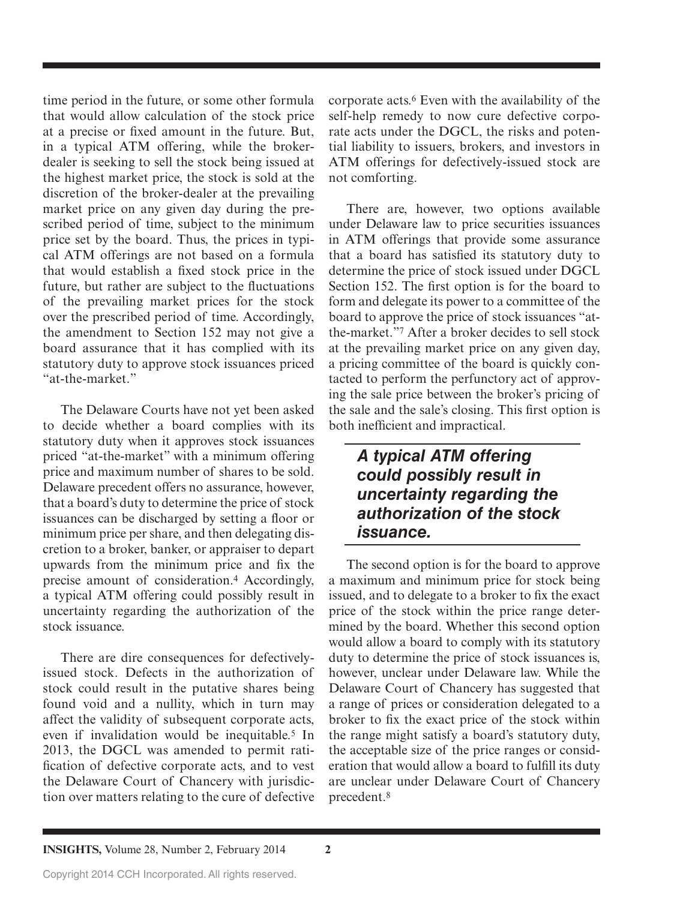time period in the future, or some other formula that would allow calculation of the stock price at a precise or fixed amount in the future. But, in a typical ATM offering, while the brokerdealer is seeking to sell the stock being issued at the highest market price, the stock is sold at the discretion of the broker-dealer at the prevailing market price on any given day during the prescribed period of time, subject to the minimum price set by the board. Thus, the prices in typical ATM offerings are not based on a formula that would establish a fixed stock price in the future, but rather are subject to the fluctuations of the prevailing market prices for the stock over the prescribed period of time. Accordingly, the amendment to Section 152 may not give a board assurance that it has complied with its statutory duty to approve stock issuances priced "at-the-market."

The Delaware Courts have not yet been asked to decide whether a board complies with its statutory duty when it approves stock issuances priced "at-the-market" with a minimum offering price and maximum number of shares to be sold. Delaware precedent offers no assurance, however, that a board's duty to determine the price of stock issuances can be discharged by setting a floor or minimum price per share, and then delegating discretion to a broker, banker, or appraiser to depart upwards from the minimum price and fix the precise amount of consideration.4 Accordingly, a typical ATM offering could possibly result in uncertainty regarding the authorization of the stock issuance.

There are dire consequences for defectivelyissued stock. Defects in the authorization of stock could result in the putative shares being found void and a nullity, which in turn may affect the validity of subsequent corporate acts, even if invalidation would be inequitable.<sup>5</sup> In 2013, the DGCL was amended to permit ratification of defective corporate acts, and to vest the Delaware Court of Chancery with jurisdiction over matters relating to the cure of defective corporate acts.6 Even with the availability of the self-help remedy to now cure defective corporate acts under the DGCL, the risks and potential liability to issuers, brokers, and investors in ATM offerings for defectively-issued stock are not comforting.

There are, however, two options available under Delaware law to price securities issuances in ATM offerings that provide some assurance that a board has satisfied its statutory duty to determine the price of stock issued under DGCL Section 152. The first option is for the board to form and delegate its power to a committee of the board to approve the price of stock issuances "atthe-market."7 After a broker decides to sell stock at the prevailing market price on any given day, a pricing committee of the board is quickly contacted to perform the perfunctory act of approving the sale price between the broker's pricing of the sale and the sale's closing. This first option is both inefficient and impractical.

#### *A typical ATM offering could possibly result in uncertainty regarding the authorization of the stock issuance.*

The second option is for the board to approve a maximum and minimum price for stock being issued, and to delegate to a broker to fix the exact price of the stock within the price range determined by the board. Whether this second option would allow a board to comply with its statutory duty to determine the price of stock issuances is, however, unclear under Delaware law. While the Delaware Court of Chancery has suggested that a range of prices or consideration delegated to a broker to fix the exact price of the stock within the range might satisfy a board's statutory duty, the acceptable size of the price ranges or consideration that would allow a board to fulfill its duty are unclear under Delaware Court of Chancery precedent.8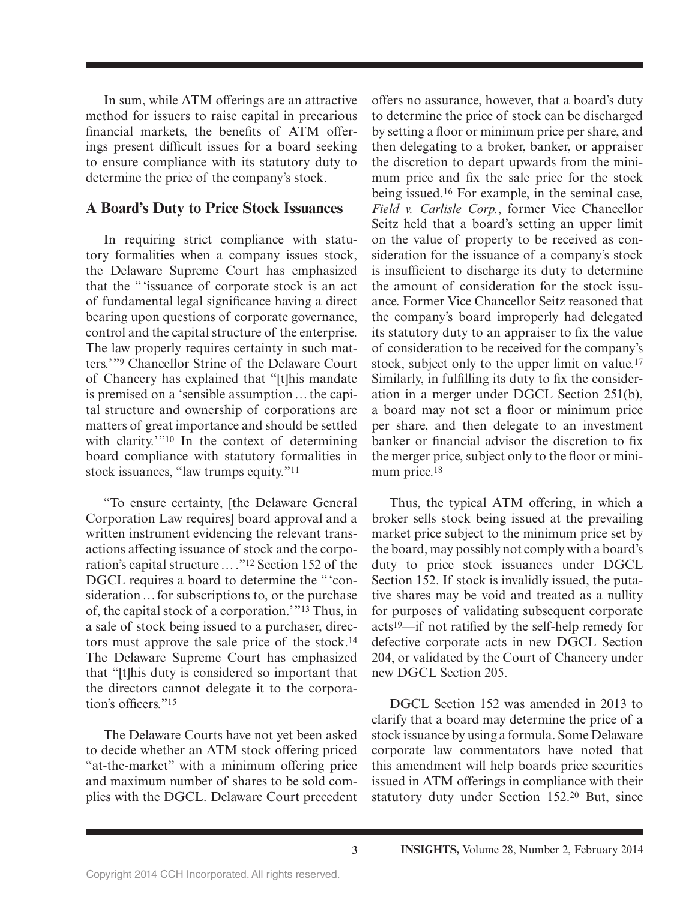In sum, while ATM offerings are an attractive method for issuers to raise capital in precarious financial markets, the benefits of ATM offerings present difficult issues for a board seeking to ensure compliance with its statutory duty to determine the price of the company's stock.

#### **A Board's Duty to Price Stock Issuances**

In requiring strict compliance with statutory formalities when a company issues stock, the Delaware Supreme Court has emphasized that the " 'issuance of corporate stock is an act of fundamental legal significance having a direct bearing upon questions of corporate governance, control and the capital structure of the enterprise. The law properly requires certainty in such matters.'"<sup>9</sup> Chancellor Strine of the Delaware Court of Chancery has explained that "[t]his mandate is premised on a 'sensible assumption … the capital structure and ownership of corporations are matters of great importance and should be settled with clarity.'"<sup>10</sup> In the context of determining board compliance with statutory formalities in stock issuances, "law trumps equity."11

"To ensure certainty, [the Delaware General Corporation Law requires] board approval and a written instrument evidencing the relevant transactions affecting issuance of stock and the corporation's capital structure … ."12 Section 152 of the DGCL requires a board to determine the "'consideration … for subscriptions to, or the purchase of, the capital stock of a corporation.' "13 Thus, in a sale of stock being issued to a purchaser, directors must approve the sale price of the stock.14 The Delaware Supreme Court has emphasized that "[t]his duty is considered so important that the directors cannot delegate it to the corporation's officers<sup>"15</sup>

The Delaware Courts have not yet been asked to decide whether an ATM stock offering priced "at-the-market" with a minimum offering price and maximum number of shares to be sold complies with the DGCL. Delaware Court precedent

offers no assurance, however, that a board's duty to determine the price of stock can be discharged by setting a floor or minimum price per share, and then delegating to a broker, banker, or appraiser the discretion to depart upwards from the minimum price and fix the sale price for the stock being issued.16 For example, in the seminal case, *Field v. Carlisle Corp.*, former Vice Chancellor Seitz held that a board's setting an upper limit on the value of property to be received as consideration for the issuance of a company's stock is insufficient to discharge its duty to determine the amount of consideration for the stock issuance. Former Vice Chancellor Seitz reasoned that the company's board improperly had delegated its statutory duty to an appraiser to fix the value of consideration to be received for the company's stock, subject only to the upper limit on value.<sup>17</sup> Similarly, in fulfilling its duty to fix the consideration in a merger under DGCL Section 251(b), a board may not set a floor or minimum price per share, and then delegate to an investment banker or financial advisor the discretion to fix the merger price, subject only to the floor or minimum price.<sup>18</sup>

Thus, the typical ATM offering, in which a broker sells stock being issued at the prevailing market price subject to the minimum price set by the board, may possibly not comply with a board's duty to price stock issuances under DGCL Section 152. If stock is invalidly issued, the putative shares may be void and treated as a nullity for purposes of validating subsequent corporate acts $19$ —if not ratified by the self-help remedy for defective corporate acts in new DGCL Section 204, or validated by the Court of Chancery under new DGCL Section 205.

DGCL Section 152 was amended in 2013 to clarify that a board may determine the price of a stock issuance by using a formula. Some Delaware corporate law commentators have noted that this amendment will help boards price securities issued in ATM offerings in compliance with their statutory duty under Section 152.20 But, since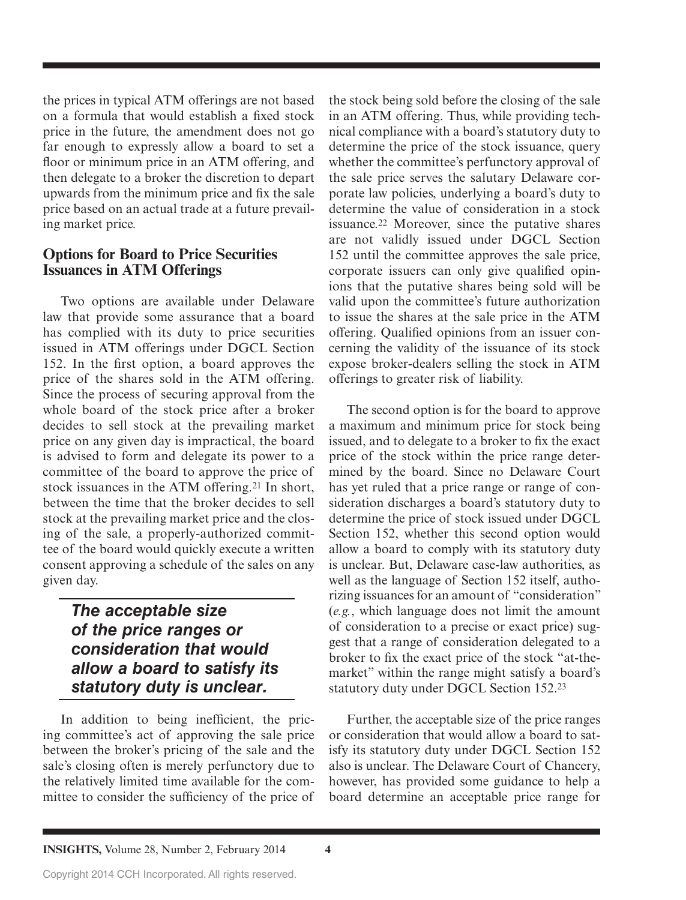the prices in typical ATM offerings are not based on a formula that would establish a fixed stock price in the future, the amendment does not go far enough to expressly allow a board to set a floor or minimum price in an ATM offering, and then delegate to a broker the discretion to depart upwards from the minimum price and fix the sale price based on an actual trade at a future prevailing market price.

#### **Options for Board to Price Securities Issuances in ATM Offerings**

Two options are available under Delaware law that provide some assurance that a board has complied with its duty to price securities issued in ATM offerings under DGCL Section 152. In the first option, a board approves the price of the shares sold in the ATM offering. Since the process of securing approval from the whole board of the stock price after a broker decides to sell stock at the prevailing market price on any given day is impractical, the board is advised to form and delegate its power to a committee of the board to approve the price of stock issuances in the ATM offering.21 In short, between the time that the broker decides to sell stock at the prevailing market price and the closing of the sale, a properly-authorized committee of the board would quickly execute a written consent approving a schedule of the sales on any given day.

#### *The acceptable size of the price ranges or consideration that would allow a board to satisfy its statutory duty is unclear.*

In addition to being inefficient, the pricing committee's act of approving the sale price between the broker's pricing of the sale and the sale's closing often is merely perfunctory due to the relatively limited time available for the committee to consider the sufficiency of the price of

the stock being sold before the closing of the sale in an ATM offering. Thus, while providing technical compliance with a board's statutory duty to determine the price of the stock issuance, query whether the committee's perfunctory approval of the sale price serves the salutary Delaware corporate law policies, underlying a board's duty to determine the value of consideration in a stock issuance.22 Moreover, since the putative shares are not validly issued under DGCL Section 152 until the committee approves the sale price, corporate issuers can only give qualified opinions that the putative shares being sold will be valid upon the committee's future authorization to issue the shares at the sale price in the ATM offering. Qualified opinions from an issuer concerning the validity of the issuance of its stock expose broker-dealers selling the stock in ATM offerings to greater risk of liability.

The second option is for the board to approve a maximum and minimum price for stock being issued, and to delegate to a broker to fix the exact price of the stock within the price range determined by the board. Since no Delaware Court has yet ruled that a price range or range of consideration discharges a board's statutory duty to determine the price of stock issued under DGCL Section 152, whether this second option would allow a board to comply with its statutory duty is unclear. But, Delaware case-law authorities, as well as the language of Section 152 itself, authorizing issuances for an amount of "consideration" (*e.g.*, which language does not limit the amount of consideration to a precise or exact price) suggest that a range of consideration delegated to a broker to fix the exact price of the stock "at-themarket" within the range might satisfy a board's statutory duty under DGCL Section 152.23

Further, the acceptable size of the price ranges or consideration that would allow a board to satisfy its statutory duty under DGCL Section 152 also is unclear. The Delaware Court of Chancery, however, has provided some guidance to help a board determine an acceptable price range for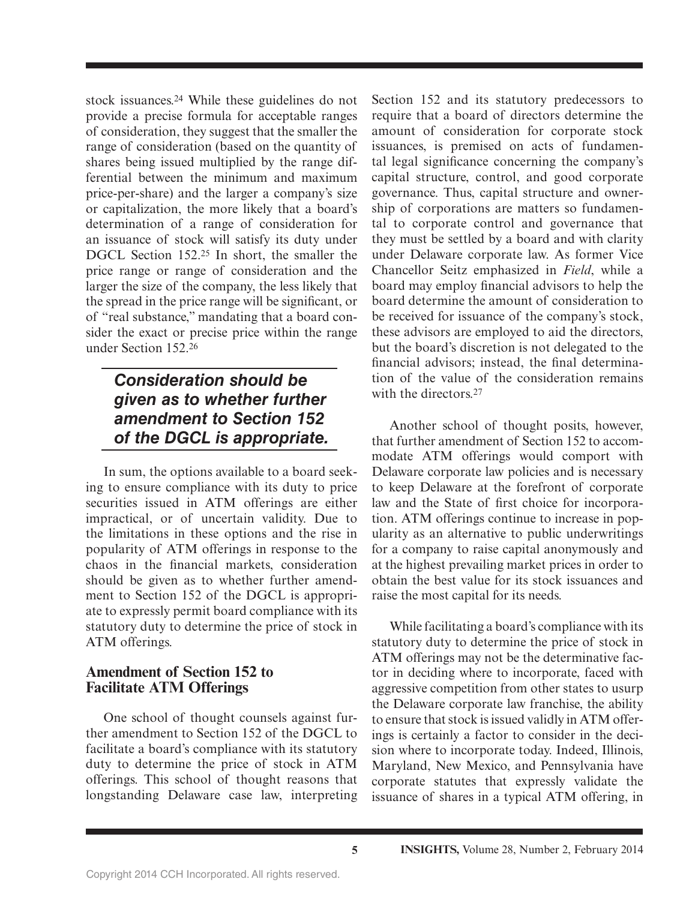stock issuances.24 While these guidelines do not provide a precise formula for acceptable ranges of consideration, they suggest that the smaller the range of consideration (based on the quantity of shares being issued multiplied by the range differential between the minimum and maximum price-per-share) and the larger a company's size or capitalization, the more likely that a board's determination of a range of consideration for an issuance of stock will satisfy its duty under DGCL Section 152.25 In short, the smaller the price range or range of consideration and the larger the size of the company, the less likely that the spread in the price range will be significant, or of "real substance," mandating that a board consider the exact or precise price within the range under Section 152.26

#### *Consideration should be given as to whether further amendment to Section 152 of the DGCL is appropriate.*

In sum, the options available to a board seeking to ensure compliance with its duty to price securities issued in ATM offerings are either impractical, or of uncertain validity. Due to the limitations in these options and the rise in popularity of ATM offerings in response to the chaos in the financial markets, consideration should be given as to whether further amendment to Section 152 of the DGCL is appropriate to expressly permit board compliance with its statutory duty to determine the price of stock in ATM offerings.

#### **Amendment of Section 152 to Facilitate ATM Offerings**

One school of thought counsels against further amendment to Section 152 of the DGCL to facilitate a board's compliance with its statutory duty to determine the price of stock in ATM offerings. This school of thought reasons that longstanding Delaware case law, interpreting

Section 152 and its statutory predecessors to require that a board of directors determine the amount of consideration for corporate stock issuances, is premised on acts of fundamental legal significance concerning the company's capital structure, control, and good corporate governance. Thus, capital structure and ownership of corporations are matters so fundamental to corporate control and governance that they must be settled by a board and with clarity under Delaware corporate law. As former Vice Chancellor Seitz emphasized in *Field*, while a board may employ financial advisors to help the board determine the amount of consideration to be received for issuance of the company's stock, these advisors are employed to aid the directors, but the board's discretion is not delegated to the financial advisors; instead, the final determination of the value of the consideration remains with the directors.<sup>27</sup>

Another school of thought posits, however, that further amendment of Section 152 to accommodate ATM offerings would comport with Delaware corporate law policies and is necessary to keep Delaware at the forefront of corporate law and the State of first choice for incorporation. ATM offerings continue to increase in popularity as an alternative to public underwritings for a company to raise capital anonymously and at the highest prevailing market prices in order to obtain the best value for its stock issuances and raise the most capital for its needs.

While facilitating a board's compliance with its statutory duty to determine the price of stock in ATM offerings may not be the determinative factor in deciding where to incorporate, faced with aggressive competition from other states to usurp the Delaware corporate law franchise, the ability to ensure that stock is issued validly in ATM offerings is certainly a factor to consider in the decision where to incorporate today. Indeed, Illinois, Maryland, New Mexico, and Pennsylvania have corporate statutes that expressly validate the issuance of shares in a typical ATM offering, in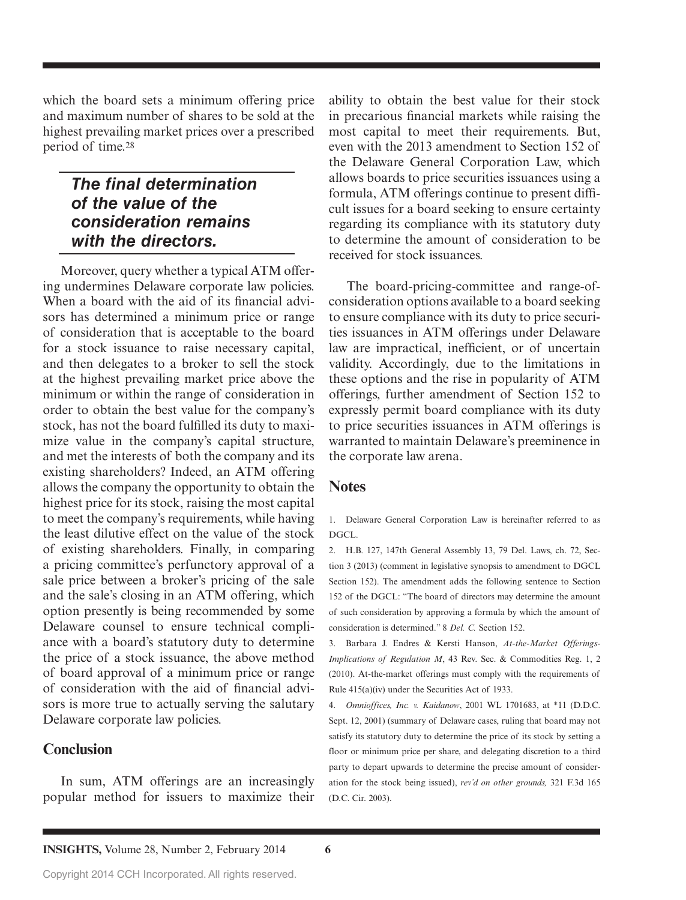which the board sets a minimum offering price and maximum number of shares to be sold at the highest prevailing market prices over a prescribed period of time.28

#### *The final determination of the value of the consideration remains with the directors.*

Moreover, query whether a typical ATM offering undermines Delaware corporate law policies. When a board with the aid of its financial advisors has determined a minimum price or range of consideration that is acceptable to the board for a stock issuance to raise necessary capital, and then delegates to a broker to sell the stock at the highest prevailing market price above the minimum or within the range of consideration in order to obtain the best value for the company's stock, has not the board fulfilled its duty to maximize value in the company's capital structure, and met the interests of both the company and its existing shareholders? Indeed, an ATM offering allows the company the opportunity to obtain the highest price for its stock, raising the most capital to meet the company's requirements, while having the least dilutive effect on the value of the stock of existing shareholders. Finally, in comparing a pricing committee's perfunctory approval of a sale price between a broker's pricing of the sale and the sale's closing in an ATM offering, which option presently is being recommended by some Delaware counsel to ensure technical compliance with a board's statutory duty to determine the price of a stock issuance, the above method of board approval of a minimum price or range of consideration with the aid of financial advisors is more true to actually serving the salutary Delaware corporate law policies.

#### **Conclusion**

In sum, ATM offerings are an increasingly popular method for issuers to maximize their ability to obtain the best value for their stock in precarious financial markets while raising the most capital to meet their requirements. But, even with the 2013 amendment to Section 152 of the Delaware General Corporation Law, which allows boards to price securities issuances using a formula, ATM offerings continue to present difficult issues for a board seeking to ensure certainty regarding its compliance with its statutory duty to determine the amount of consideration to be received for stock issuances.

The board-pricing-committee and range-ofconsideration options available to a board seeking to ensure compliance with its duty to price securities issuances in ATM offerings under Delaware law are impractical, inefficient, or of uncertain validity. Accordingly, due to the limitations in these options and the rise in popularity of ATM offerings, further amendment of Section 152 to expressly permit board compliance with its duty to price securities issuances in ATM offerings is warranted to maintain Delaware's preeminence in the corporate law arena.

#### **Notes**

1. Delaware General Corporation Law is hereinafter referred to as DGCL.

2. H.B. 127, 147th General Assembly 13, 79 Del. Laws, ch. 72, Section 3 (2013) (comment in legislative synopsis to amendment to DGCL Section 152). The amendment adds the following sentence to Section 152 of the DGCL: "The board of directors may determine the amount of such consideration by approving a formula by which the amount of consideration is determined." 8 *Del. C.* Section 152.

3. Barbara J. Endres & Kersti Hanson, *At-the-Market Offerings-Implications of Regulation M*, 43 Rev. Sec. & Commodities Reg. 1, 2 (2010). At-the-market offerings must comply with the requirements of Rule 415(a)(iv) under the Securities Act of 1933.

4. *Omnioffices, Inc. v. Kaidanow*, 2001 WL 1701683, at \*11 (D.D.C. Sept. 12, 2001) (summary of Delaware cases, ruling that board may not satisfy its statutory duty to determine the price of its stock by setting a floor or minimum price per share, and delegating discretion to a third party to depart upwards to determine the precise amount of consideration for the stock being issued), *rev'd on other grounds,* 321 F.3d 165 (D.C. Cir. 2003).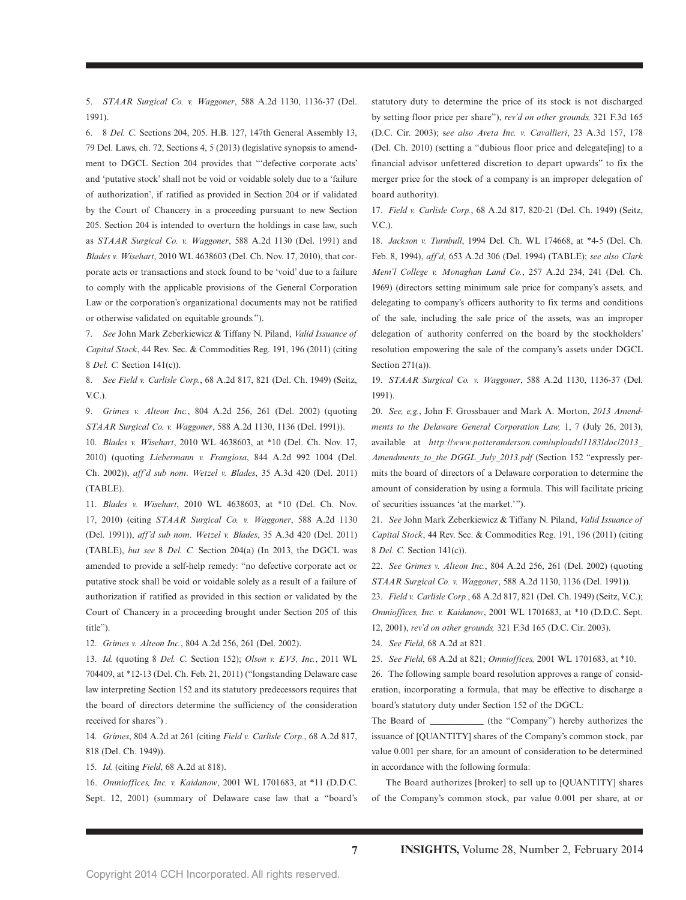5. *STAAR Surgical Co. v. Waggoner*, 588 A.2d 1130, 1136-37 (Del. 1991).

6. 8 *Del. C.* Sections 204, 205. H.B. 127, 147th General Assembly 13, 79 Del. Laws, ch. 72, Sections 4, 5 (2013) (legislative synopsis to amendment to DGCL Section 204 provides that "'defective corporate acts' and 'putative stock' shall not be void or voidable solely due to a 'failure of authorization', if ratified as provided in Section 204 or if validated by the Court of Chancery in a proceeding pursuant to new Section 205. Section 204 is intended to overturn the holdings in case law, such as *STAAR Surgical Co. v. Waggoner*, 588 A.2d 1130 (Del. 1991) and *Blades v. Wisehart*, 2010 WL 4638603 (Del. Ch. Nov. 17, 2010), that corporate acts or transactions and stock found to be 'void' due to a failure to comply with the applicable provisions of the General Corporation Law or the corporation's organizational documents may not be ratified or otherwise validated on equitable grounds.").

7. *See* John Mark Zeberkiewicz & Tiffany N. Piland, *Valid Issuance of Capital Stock*, 44 Rev. Sec. & Commodities Reg. 191, 196 (2011) (citing 8 *Del. C.* Section 141(c)).

8. *See Field v. Carlisle Corp.*, 68 A.2d 817, 821 (Del. Ch. 1949) (Seitz, V.C.).

9. *Grimes v. Alteon Inc.*, 804 A.2d 256, 261 (Del. 2002) (quoting *STAAR Surgical Co. v. Waggoner*, 588 A.2d 1130, 1136 (Del. 1991)).

10. *Blades v. Wisehart*, 2010 WL 4638603, at \*10 (Del. Ch. Nov. 17, 2010) (quoting *Liebermann v. Frangiosa*, 844 A.2d 992 1004 (Del. Ch. 2002)), *aff'd sub nom*. *Wetzel v. Blades*, 35 A.3d 420 (Del. 2011) (TABLE).

11. *Blades v. Wisehart*, 2010 WL 4638603, at \*10 (Del. Ch. Nov. 17, 2010) (citing *STAAR Surgical Co. v. Waggoner*, 588 A.2d 1130 (Del. 1991)), *aff'd sub nom*. *Wetzel v. Blades*, 35 A.3d 420 (Del. 2011) (TABLE), *but see* 8 *Del. C.* Section 204(a) (In 2013, the DGCL was amended to provide a self-help remedy: "no defective corporate act or putative stock shall be void or voidable solely as a result of a failure of authorization if ratified as provided in this section or validated by the Court of Chancery in a proceeding brought under Section 205 of this title").

12. *Grimes v. Alteon Inc.*, 804 A.2d 256, 261 (Del. 2002).

13. *Id.* (quoting 8 *Del. C.* Section 152); *Olson v. EV3, Inc.*, 2011 WL 704409, at \*12-13 (Del. Ch. Feb. 21, 2011) ("longstanding Delaware case law interpreting Section 152 and its statutory predecessors requires that the board of directors determine the sufficiency of the consideration received for shares") *.*

14. *Grimes*, 804 A.2d at 261 (citing *Field v. Carlisle Corp.*, 68 A.2d 817, 818 (Del. Ch. 1949)).

15. *Id.* (citing *Field*, 68 A.2d at 818).

16. *Omnioffices, Inc. v. Kaidanow*, 2001 WL 1701683, at \*11 (D.D.C. Sept. 12, 2001) (summary of Delaware case law that a "board's  statutory duty to determine the price of its stock is not discharged by setting floor price per share"), *rev'd on other grounds,* 321 F.3d 165 (D.C. Cir. 2003); s*ee also Aveta Inc. v. Cavallieri*, 23 A.3d 157, 178 (Del. Ch. 2010) (setting a "dubious floor price and delegate[ing] to a financial advisor unfettered discretion to depart upwards" to fix the merger price for the stock of a company is an improper delegation of board authority).

17. *Field v. Carlisle Corp.*, 68 A.2d 817, 820-21 (Del. Ch. 1949) (Seitz, V.C.).

18. *Jackson v. Turnbull*, 1994 Del. Ch. WL 174668, at \*4-5 (Del. Ch. Feb. 8, 1994), *aff'd*, 653 A.2d 306 (Del. 1994) (TABLE); *see also Clark Mem'l College v. Monaghan Land Co.*, 257 A.2d 234, 241 (Del. Ch. 1969) (directors setting minimum sale price for company's assets, and delegating to company's officers authority to fix terms and conditions of the sale, including the sale price of the assets, was an improper delegation of authority conferred on the board by the stockholders' resolution empowering the sale of the company's assets under DGCL Section 271(a)).

19. *STAAR Surgical Co. v. Waggoner*, 588 A.2d 1130, 1136-37 (Del. 1991).

20. *See, e,g.*, John F. Grossbauer and Mark A. Morton, *2013 Amendments to the Delaware General Corporation Law,* 1, 7 (July 26, 2013), available at *http://www.potteranderson.com/uploads/1183/doc/2013\_ Amendments\_to\_the DGGL\_July\_2013.pdf* (Section 152 "expressly permits the board of directors of a Delaware corporation to determine the amount of consideration by using a formula. This will facilitate pricing of securities issuances 'at the market.' ").

21. *See* John Mark Zeberkiewicz & Tiffany N. Piland, *Valid Issuance of Capital Stock*, 44 Rev. Sec. & Commodities Reg. 191, 196 (2011) (citing 8 *Del. C.* Section 141(c)).

22. *See Grimes v. Alteon Inc.*, 804 A.2d 256, 261 (Del. 2002) (quoting *STAAR Surgical Co. v. Waggoner*, 588 A.2d 1130, 1136 (Del. 1991)).

23. *Field v. Carlisle Corp.*, 68 A.2d 817, 821 (Del. Ch. 1949) (Seitz, V.C.); *Omnioffices, Inc. v. Kaidanow*, 2001 WL 1701683, at \*10 (D.D.C. Sept. 12, 2001), *rev'd on other grounds,* 321 F.3d 165 (D.C. Cir. 2003).

24. *See Field*, 68 A.2d at 821.

25. *See Field*, 68 A.2d at 821; *Omnioffices,* 2001 WL 1701683, at \*10.

26. The following sample board resolution approves a range of consideration, incorporating a formula, that may be effective to discharge a board's statutory duty under Section 152 of the DGCL:

The Board of \_\_\_\_\_\_\_\_\_\_\_\_ (the "Company") hereby authorizes the issuance of [QUANTITY] shares of the Company's common stock, par value 0.001 per share, for an amount of consideration to be determined in accordance with the following formula:

The Board authorizes [broker] to sell up to [QUANTITY] shares of the Company's common stock, par value 0.001 per share, at or